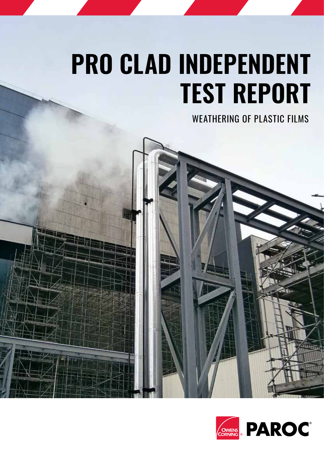# **PRO CLAD INDEPENDENT TEST REPORT**

WEATHERING OF PLASTIC FILMS